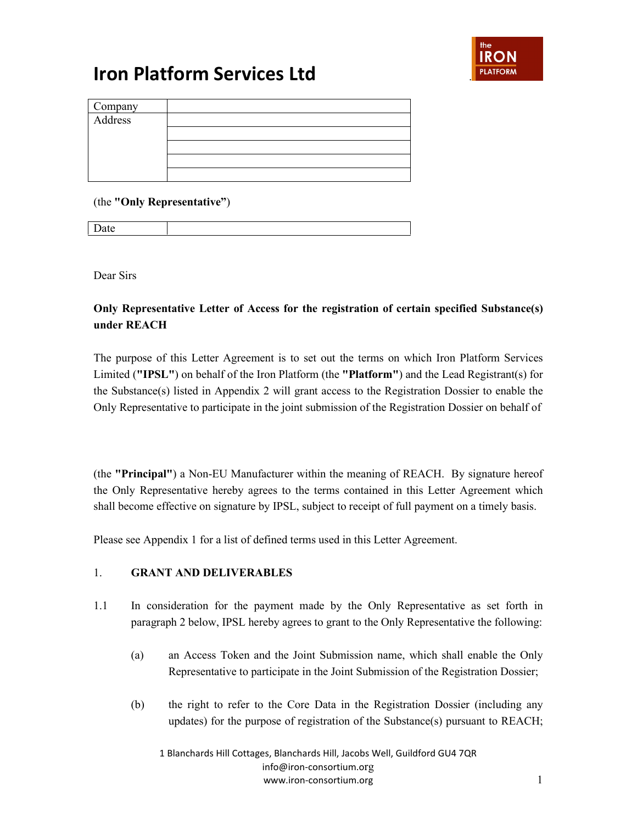

| Company<br>Address |  |
|--------------------|--|
|                    |  |
|                    |  |
|                    |  |
|                    |  |
|                    |  |
|                    |  |

(the **"Only Representative"**)

Date

Dear Sirs

**Only Representative Letter of Access for the registration of certain specified Substance(s) under REACH**

The purpose of this Letter Agreement is to set out the terms on which Iron Platform Services Limited (**"IPSL"**) on behalf of the Iron Platform (the **"Platform"**) and the Lead Registrant(s) for the Substance(s) listed in Appendix 2 will grant access to the Registration Dossier to enable the Only Representative to participate in the joint submission of the Registration Dossier on behalf of

(the **"Principal"**) a Non-EU Manufacturer within the meaning of REACH. By signature hereof the Only Representative hereby agrees to the terms contained in this Letter Agreement which shall become effective on signature by IPSL, subject to receipt of full payment on a timely basis.

Please see Appendix 1 for a list of defined terms used in this Letter Agreement.

### 1. **GRANT AND DELIVERABLES**

- 1.1 In consideration for the payment made by the Only Representative as set forth in paragraph 2 below, IPSL hereby agrees to grant to the Only Representative the following:
	- (a) an Access Token and the Joint Submission name, which shall enable the Only Representative to participate in the Joint Submission of the Registration Dossier;
	- (b) the right to refer to the Core Data in the Registration Dossier (including any updates) for the purpose of registration of the Substance(s) pursuant to REACH;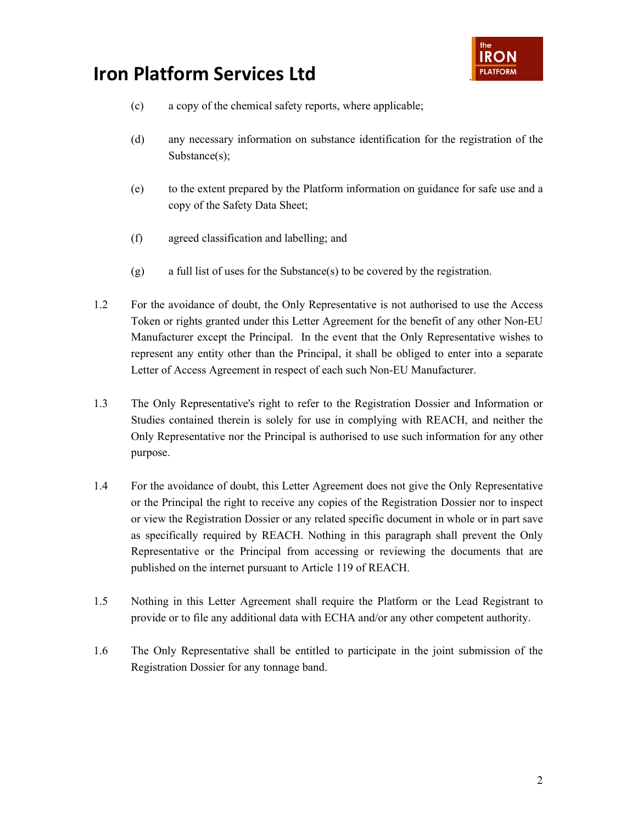

- (c) a copy of the chemical safety reports, where applicable;
- (d) any necessary information on substance identification for the registration of the Substance(s);
- (e) to the extent prepared by the Platform information on guidance for safe use and a copy of the Safety Data Sheet;
- (f) agreed classification and labelling; and
- (g) a full list of uses for the Substance(s) to be covered by the registration.
- 1.2 For the avoidance of doubt, the Only Representative is not authorised to use the Access Token or rights granted under this Letter Agreement for the benefit of any other Non-EU Manufacturer except the Principal. In the event that the Only Representative wishes to represent any entity other than the Principal, it shall be obliged to enter into a separate Letter of Access Agreement in respect of each such Non-EU Manufacturer.
- 1.3 The Only Representative's right to refer to the Registration Dossier and Information or Studies contained therein is solely for use in complying with REACH, and neither the Only Representative nor the Principal is authorised to use such information for any other purpose.
- 1.4 For the avoidance of doubt, this Letter Agreement does not give the Only Representative or the Principal the right to receive any copies of the Registration Dossier nor to inspect or view the Registration Dossier or any related specific document in whole or in part save as specifically required by REACH. Nothing in this paragraph shall prevent the Only Representative or the Principal from accessing or reviewing the documents that are published on the internet pursuant to Article 119 of REACH.
- 1.5 Nothing in this Letter Agreement shall require the Platform or the Lead Registrant to provide or to file any additional data with ECHA and/or any other competent authority.
- 1.6 The Only Representative shall be entitled to participate in the joint submission of the Registration Dossier for any tonnage band.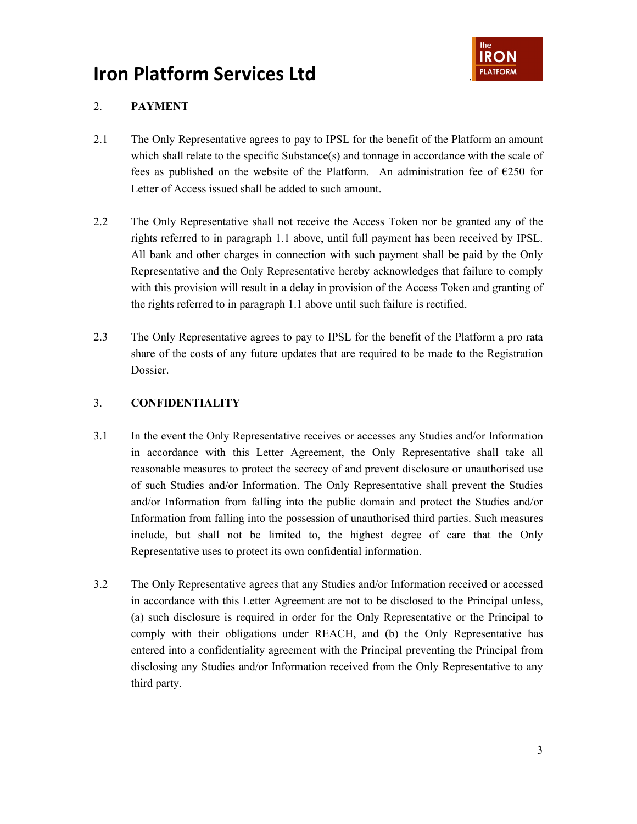

### 2. **PAYMENT**

- 2.1 The Only Representative agrees to pay to IPSL for the benefit of the Platform an amount which shall relate to the specific Substance(s) and tonnage in accordance with the scale of fees as published on the website of the Platform. An administration fee of  $E$ 250 for Letter of Access issued shall be added to such amount.
- 2.2 The Only Representative shall not receive the Access Token nor be granted any of the rights referred to in paragraph 1.1 above, until full payment has been received by IPSL. All bank and other charges in connection with such payment shall be paid by the Only Representative and the Only Representative hereby acknowledges that failure to comply with this provision will result in a delay in provision of the Access Token and granting of the rights referred to in paragraph 1.1 above until such failure is rectified.
- 2.3 The Only Representative agrees to pay to IPSL for the benefit of the Platform a pro rata share of the costs of any future updates that are required to be made to the Registration Dossier.

### 3. **CONFIDENTIALITY**

- 3.1 In the event the Only Representative receives or accesses any Studies and/or Information in accordance with this Letter Agreement, the Only Representative shall take all reasonable measures to protect the secrecy of and prevent disclosure or unauthorised use of such Studies and/or Information. The Only Representative shall prevent the Studies and/or Information from falling into the public domain and protect the Studies and/or Information from falling into the possession of unauthorised third parties. Such measures include, but shall not be limited to, the highest degree of care that the Only Representative uses to protect its own confidential information.
- 3.2 The Only Representative agrees that any Studies and/or Information received or accessed in accordance with this Letter Agreement are not to be disclosed to the Principal unless, (a) such disclosure is required in order for the Only Representative or the Principal to comply with their obligations under REACH, and (b) the Only Representative has entered into a confidentiality agreement with the Principal preventing the Principal from disclosing any Studies and/or Information received from the Only Representative to any third party.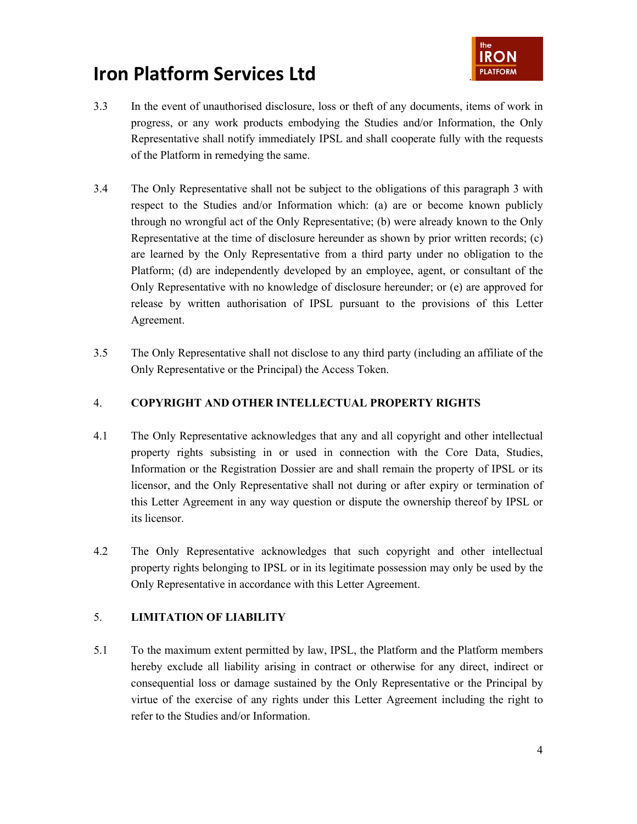

- 3.3 In the event of unauthorised disclosure, loss or theft of any documents, items of work in progress, or any work products embodying the Studies and/or Information, the Only Representative shall notify immediately IPSL and shall cooperate fully with the requests of the Platform in remedying the same.
- 3.4 The Only Representative shall not be subject to the obligations of this paragraph 3 with respect to the Studies and/or Information which: (a) are or become known publicly through no wrongful act of the Only Representative; (b) were already known to the Only Representative at the time of disclosure hereunder as shown by prior written records; (c) are learned by the Only Representative from a third party under no obligation to the Platform; (d) are independently developed by an employee, agent, or consultant of the Only Representative with no knowledge of disclosure hereunder; or (e) are approved for release by written authorisation of IPSL pursuant to the provisions of this Letter Agreement.
- 3.5 The Only Representative shall not disclose to any third party (including an affiliate of the Only Representative or the Principal) the Access Token.

### 4. **COPYRIGHT AND OTHER INTELLECTUAL PROPERTY RIGHTS**

- 4.1 The Only Representative acknowledges that any and all copyright and other intellectual property rights subsisting in or used in connection with the Core Data, Studies, Information or the Registration Dossier are and shall remain the property of IPSL or its licensor, and the Only Representative shall not during or after expiry or termination of this Letter Agreement in any way question or dispute the ownership thereof by IPSL or its licensor.
- 4.2 The Only Representative acknowledges that such copyright and other intellectual property rights belonging to IPSL or in its legitimate possession may only be used by the Only Representative in accordance with this Letter Agreement.

### 5. **LIMITATION OF LIABILITY**

5.1 To the maximum extent permitted by law, IPSL, the Platform and the Platform members hereby exclude all liability arising in contract or otherwise for any direct, indirect or consequential loss or damage sustained by the Only Representative or the Principal by virtue of the exercise of any rights under this Letter Agreement including the right to refer to the Studies and/or Information.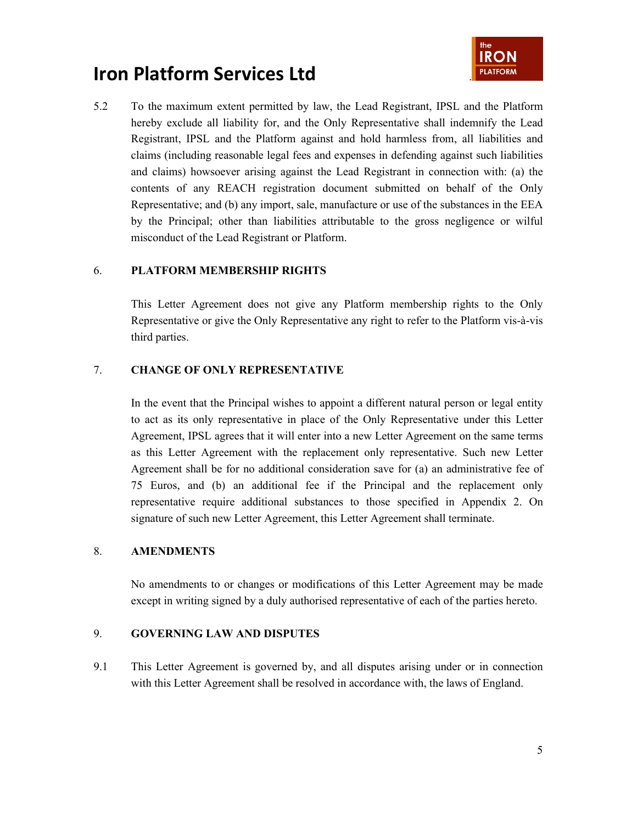

5.2 To the maximum extent permitted by law, the Lead Registrant, IPSL and the Platform hereby exclude all liability for, and the Only Representative shall indemnify the Lead Registrant, IPSL and the Platform against and hold harmless from, all liabilities and claims (including reasonable legal fees and expenses in defending against such liabilities and claims) howsoever arising against the Lead Registrant in connection with: (a) the contents of any REACH registration document submitted on behalf of the Only Representative; and (b) any import, sale, manufacture or use of the substances in the EEA by the Principal; other than liabilities attributable to the gross negligence or wilful misconduct of the Lead Registrant or Platform.

#### 6. **PLATFORM MEMBERSHIP RIGHTS**

This Letter Agreement does not give any Platform membership rights to the Only Representative or give the Only Representative any right to refer to the Platform vis-à-vis third parties.

#### 7. **CHANGE OF ONLY REPRESENTATIVE**

In the event that the Principal wishes to appoint a different natural person or legal entity to act as its only representative in place of the Only Representative under this Letter Agreement, IPSL agrees that it will enter into a new Letter Agreement on the same terms as this Letter Agreement with the replacement only representative. Such new Letter Agreement shall be for no additional consideration save for (a) an administrative fee of 75 Euros, and (b) an additional fee if the Principal and the replacement only representative require additional substances to those specified in Appendix 2. On signature of such new Letter Agreement, this Letter Agreement shall terminate.

#### 8. **AMENDMENTS**

No amendments to or changes or modifications of this Letter Agreement may be made except in writing signed by a duly authorised representative of each of the parties hereto.

#### 9. **GOVERNING LAW AND DISPUTES**

9.1 This Letter Agreement is governed by, and all disputes arising under or in connection with this Letter Agreement shall be resolved in accordance with, the laws of England.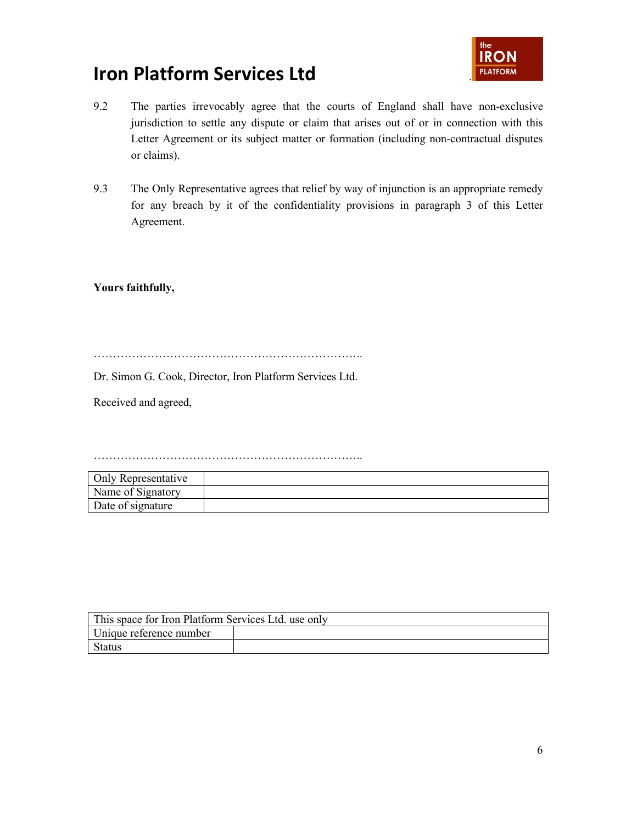

- 9.2 The parties irrevocably agree that the courts of England shall have non-exclusive jurisdiction to settle any dispute or claim that arises out of or in connection with this Letter Agreement or its subject matter or formation (including non-contractual disputes or claims).
- 9.3 The Only Representative agrees that relief by way of injunction is an appropriate remedy for any breach by it of the confidentiality provisions in paragraph 3 of this Letter Agreement.

**Yours faithfully,**

……………………………………………………………..

Dr. Simon G. Cook, Director, Iron Platform Services Ltd.

Received and agreed,

……………………………………………………………..

| Only Representative |  |
|---------------------|--|
| Name of Signatory   |  |
| Date of signature   |  |

| This space for Iron Platform Services Ltd. use only |  |  |  |
|-----------------------------------------------------|--|--|--|
| Unique reference number                             |  |  |  |
| Status                                              |  |  |  |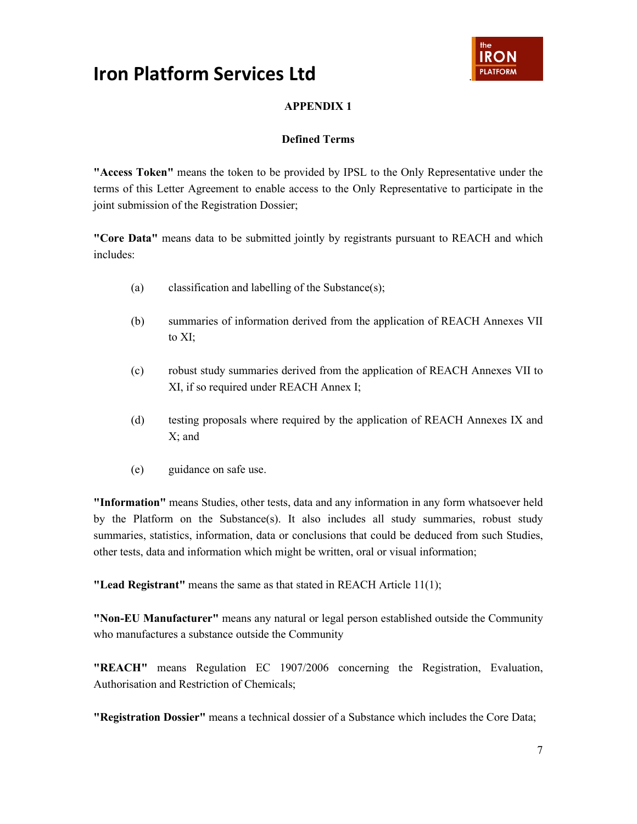

### **APPENDIX 1**

#### **Defined Terms**

**"Access Token"** means the token to be provided by IPSL to the Only Representative under the terms of this Letter Agreement to enable access to the Only Representative to participate in the joint submission of the Registration Dossier;

**"Core Data"** means data to be submitted jointly by registrants pursuant to REACH and which includes:

- (a) classification and labelling of the Substance(s);
- (b) summaries of information derived from the application of REACH Annexes VII to XI;
- (c) robust study summaries derived from the application of REACH Annexes VII to XI, if so required under REACH Annex I;
- (d) testing proposals where required by the application of REACH Annexes IX and X; and
- (e) guidance on safe use.

**"Information"** means Studies, other tests, data and any information in any form whatsoever held by the Platform on the Substance(s). It also includes all study summaries, robust study summaries, statistics, information, data or conclusions that could be deduced from such Studies, other tests, data and information which might be written, oral or visual information;

**"Lead Registrant"** means the same as that stated in REACH Article 11(1);

**"Non-EU Manufacturer"** means any natural or legal person established outside the Community who manufactures a substance outside the Community

**"REACH"** means Regulation EC 1907/2006 concerning the Registration, Evaluation, Authorisation and Restriction of Chemicals;

**"Registration Dossier"** means a technical dossier of a Substance which includes the Core Data;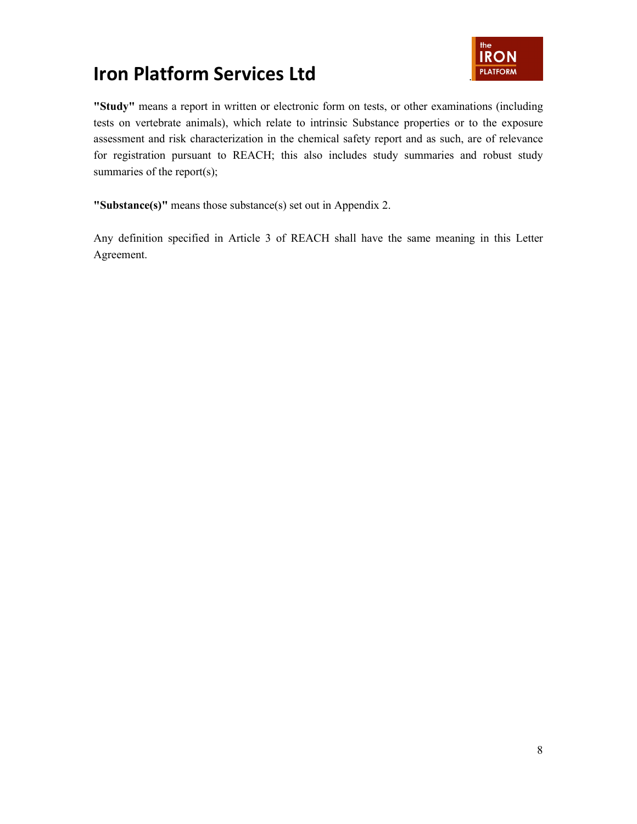

**"Study"** means a report in written or electronic form on tests, or other examinations (including tests on vertebrate animals), which relate to intrinsic Substance properties or to the exposure assessment and risk characterization in the chemical safety report and as such, are of relevance for registration pursuant to REACH; this also includes study summaries and robust study summaries of the report(s);

**"Substance(s)"** means those substance(s) set out in Appendix 2.

Any definition specified in Article 3 of REACH shall have the same meaning in this Letter Agreement.